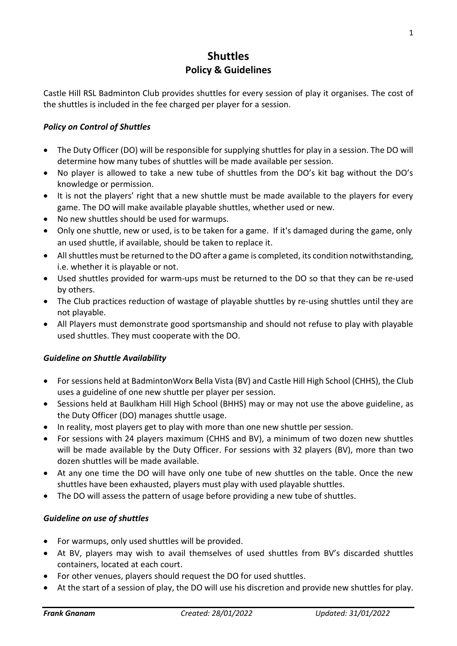## **Shuttles Policy & Guidelines**

Castle Hill RSL Badminton Club provides shuttles for every session of play it organises. The cost of the shuttles is included in the fee charged per player for a session.

## *Policy on Control of Shuttles*

- The Duty Officer (DO) will be responsible for supplying shuttles for play in a session. The DO will determine how many tubes of shuttles will be made available per session.
- No player is allowed to take a new tube of shuttles from the DO's kit bag without the DO's knowledge or permission.
- It is not the players' right that a new shuttle must be made available to the players for every game. The DO will make available playable shuttles, whether used or new.
- No new shuttles should be used for warmups.
- Only one shuttle, new or used, is to be taken for a game. If it's damaged during the game, only an used shuttle, if available, should be taken to replace it.
- All shuttles must be returned to the DO after a game is completed, its condition notwithstanding, i.e. whether it is playable or not.
- Used shuttles provided for warm-ups must be returned to the DO so that they can be re-used by others.
- The Club practices reduction of wastage of playable shuttles by re-using shuttles until they are not playable.
- All Players must demonstrate good sportsmanship and should not refuse to play with playable used shuttles. They must cooperate with the DO.

## *Guideline on Shuttle Availability*

- For sessions held at BadmintonWorx Bella Vista (BV) and Castle Hill High School (CHHS), the Club uses a guideline of one new shuttle per player per session.
- Sessions held at Baulkham Hill High School (BHHS) may or may not use the above guideline, as the Duty Officer (DO) manages shuttle usage.
- In reality, most players get to play with more than one new shuttle per session.
- For sessions with 24 players maximum (CHHS and BV), a minimum of two dozen new shuttles will be made available by the Duty Officer. For sessions with 32 players (BV), more than two dozen shuttles will be made available.
- At any one time the DO will have only one tube of new shuttles on the table. Once the new shuttles have been exhausted, players must play with used playable shuttles.
- The DO will assess the pattern of usage before providing a new tube of shuttles.

## *Guideline on use of shuttles*

- For warmups, only used shuttles will be provided.
- At BV, players may wish to avail themselves of used shuttles from BV's discarded shuttles containers, located at each court.
- For other venues, players should request the DO for used shuttles.
- At the start of a session of play, the DO will use his discretion and provide new shuttles for play.